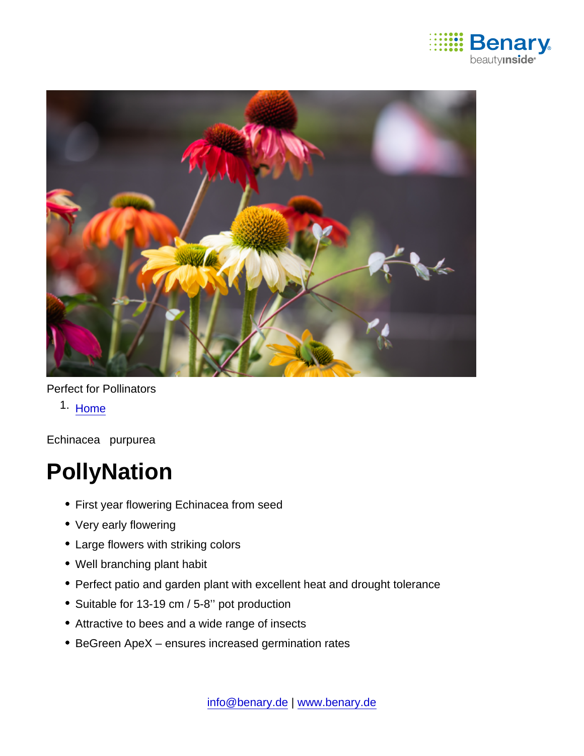

## Perfect for Pollinators

1. [Home](https://www.benary.com/)

Echinacea purpurea

## **PollyNation**

- First year flowering Echinacea from seed
- Very early flowering
- Large flowers with striking colors
- Well branching plant habit
- Perfect patio and garden plant with excellent heat and drought tolerance
- Suitable for 13-19 cm / 5-8" pot production
- Attractive to bees and a wide range of insects
- BeGreen ApeX ensures increased germination rates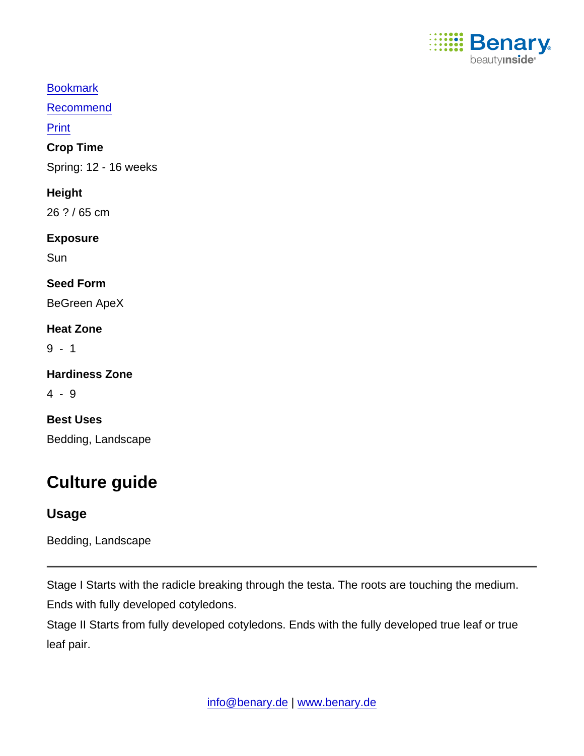

[Bookmark](https://www.benary.com/flag/flag/product/5879?destination&token=oUPDu26hKAFEvqb1UicKSxenQETMiZpgB6n75bJ_2A8)

[Recommend](mailto:?subject=Benary Echinacea purpurea &body=https://www.benary.com/print/pdf/node/5879)

Print

Crop Time

Spring: 12 - 16 weeks

**Height** 

26 ? / 65 cm

Exposure

**Sun** 

Seed Form

BeGreen ApeX

Heat Zone

9 - 1

Hardiness Zone

4 - 9

Best Uses Bedding, Landscape

## Culture guide

Usage

Bedding, Landscape

Stage I Starts with the radicle breaking through the testa. The roots are touching the medium. Ends with fully developed cotyledons.

Stage II Starts from fully developed cotyledons. Ends with the fully developed true leaf or true leaf pair.